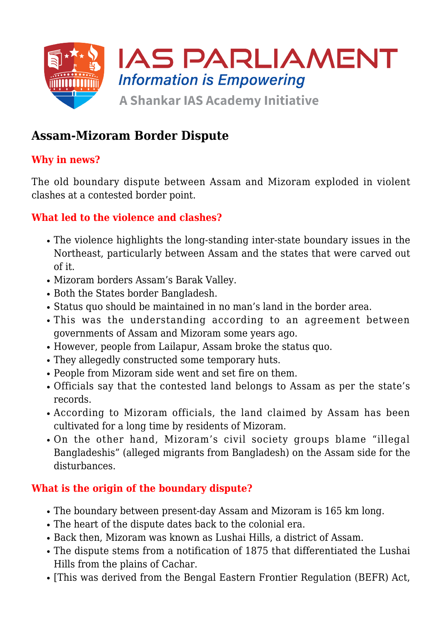

# **Assam-Mizoram Border Dispute**

### **Why in news?**

The old boundary dispute between Assam and Mizoram exploded in violent clashes at a contested border point.

#### **What led to the violence and clashes?**

- The violence highlights the long-standing inter-state boundary issues in the Northeast, particularly between Assam and the states that were carved out of it.
- Mizoram borders Assam's Barak Valley.
- Both the States border Bangladesh.
- Status quo should be maintained in no man's land in the border area.
- This was the understanding according to an agreement between governments of Assam and Mizoram some years ago.
- However, people from Lailapur, Assam broke the status quo.
- They allegedly constructed some temporary huts.
- People from Mizoram side went and set fire on them.
- Officials say that the contested land belongs to Assam as per the state's records.
- According to Mizoram officials, the land claimed by Assam has been cultivated for a long time by residents of Mizoram.
- On the other hand, Mizoram's civil society groups blame "illegal Bangladeshis" (alleged migrants from Bangladesh) on the Assam side for the disturbances.

#### **What is the origin of the boundary dispute?**

- The boundary between present-day Assam and Mizoram is 165 km long.
- The heart of the dispute dates back to the colonial era.
- Back then, Mizoram was known as Lushai Hills, a district of Assam.
- The dispute stems from a notification of 1875 that differentiated the Lushai Hills from the plains of Cachar.
- [This was derived from the Bengal Eastern Frontier Regulation (BEFR) Act,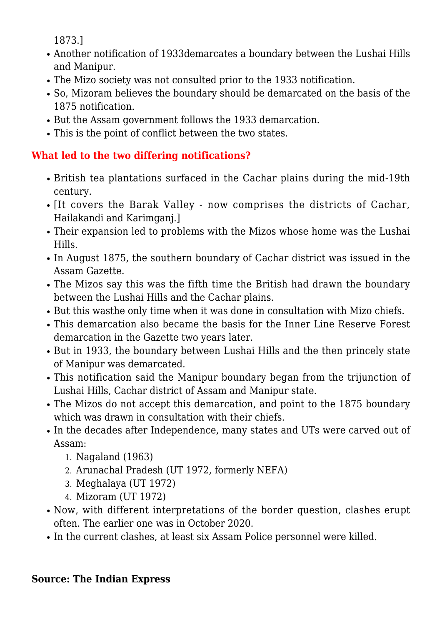1873.]

- Another notification of 1933demarcates a boundary between the Lushai Hills and Manipur.
- The Mizo society was not consulted prior to the 1933 notification.
- So, Mizoram believes the boundary should be demarcated on the basis of the 1875 notification.
- But the Assam government follows the 1933 demarcation.
- This is the point of conflict between the two states.

## **What led to the two differing notifications?**

- British tea plantations surfaced in the Cachar plains during the mid-19th century.
- [It covers the Barak Valley now comprises the districts of Cachar, Hailakandi and Karimganj.]
- Their expansion led to problems with the Mizos whose home was the Lushai Hills.
- In August 1875, the southern boundary of Cachar district was issued in the Assam Gazette.
- The Mizos say this was the fifth time the British had drawn the boundary between the Lushai Hills and the Cachar plains.
- But this wasthe only time when it was done in consultation with Mizo chiefs.
- This demarcation also became the basis for the Inner Line Reserve Forest demarcation in the Gazette two years later.
- But in 1933, the boundary between Lushai Hills and the then princely state of Manipur was demarcated.
- This notification said the Manipur boundary began from the trijunction of Lushai Hills, Cachar district of Assam and Manipur state.
- The Mizos do not accept this demarcation, and point to the 1875 boundary which was drawn in consultation with their chiefs.
- In the decades after Independence, many states and UTs were carved out of Assam:
	- 1. Nagaland (1963)
	- 2. Arunachal Pradesh (UT 1972, formerly NEFA)
	- 3. Meghalaya (UT 1972)
	- 4. Mizoram (UT 1972)
- Now, with different interpretations of the border question, clashes erupt often. The earlier one was in October 2020.
- In the current clashes, at least six Assam Police personnel were killed.

#### **Source: The Indian Express**